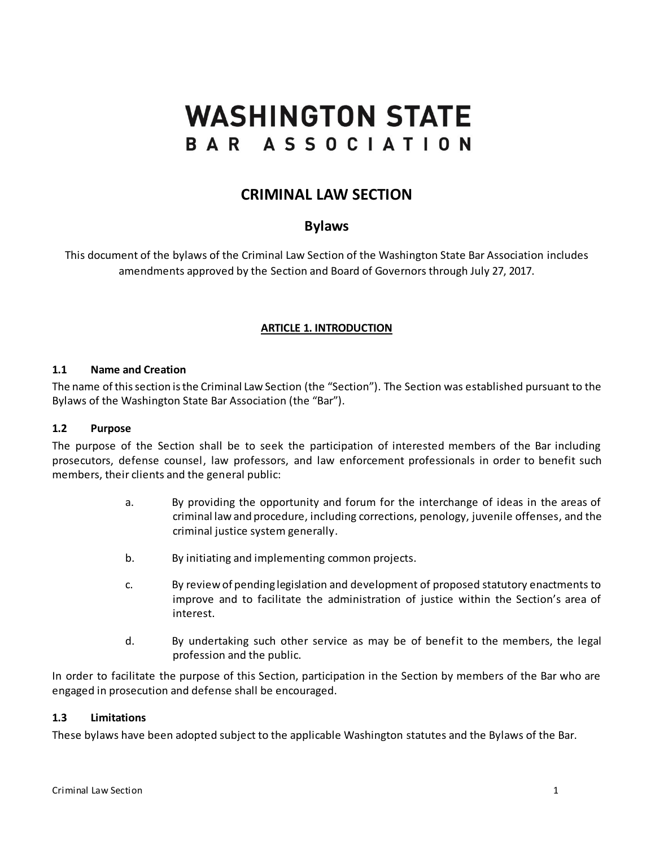# **WASHINGTON STATE** BAR ASSOCIATION

# **CRIMINAL LAW SECTION**

# **Bylaws**

This document of the bylaws of the Criminal Law Section of the Washington State Bar Association includes amendments approved by the Section and Board of Governors through July 27, 2017.

# **ARTICLE 1. INTRODUCTION**

#### **1.1 Name and Creation**

The name of this section is the Criminal Law Section (the "Section"). The Section was established pursuant to the Bylaws of the Washington State Bar Association (the "Bar").

#### **1.2 Purpose**

The purpose of the Section shall be to seek the participation of interested members of the Bar including prosecutors, defense counsel, law professors, and law enforcement professionals in order to benefit such members, their clients and the general public:

- a. By providing the opportunity and forum for the interchange of ideas in the areas of criminal law and procedure, including corrections, penology, juvenile offenses, and the criminal justice system generally.
- b. By initiating and implementing common projects.
- c. By review of pending legislation and development of proposed statutory enactments to improve and to facilitate the administration of justice within the Section's area of interest.
- d. By undertaking such other service as may be of benefit to the members, the legal profession and the public.

In order to facilitate the purpose of this Section, participation in the Section by members of the Bar who are engaged in prosecution and defense shall be encouraged.

#### **1.3 Limitations**

These bylaws have been adopted subject to the applicable Washington statutes and the Bylaws of the Bar.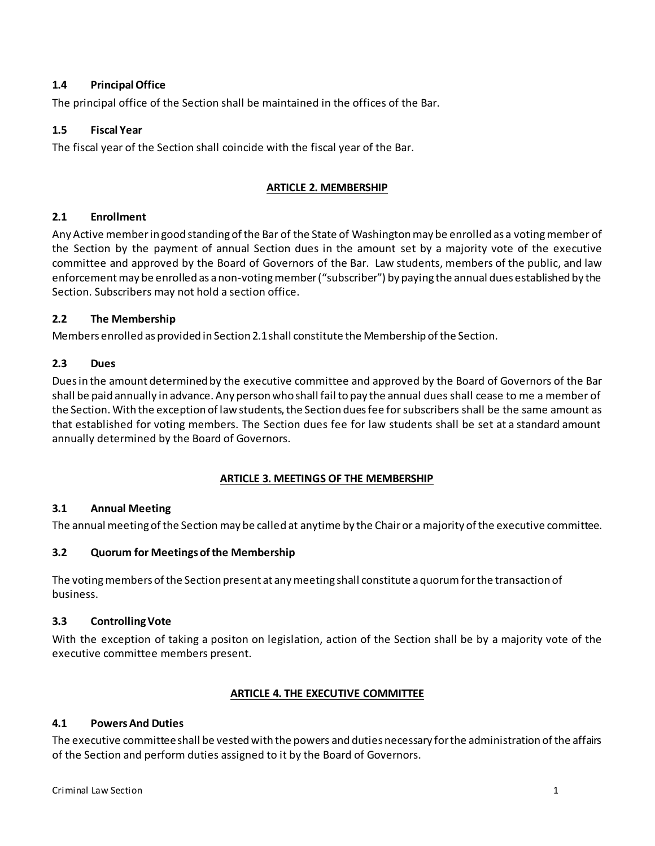# **1.4 Principal Office**

The principal office of the Section shall be maintained in the offices of the Bar.

# **1.5 Fiscal Year**

The fiscal year of the Section shall coincide with the fiscal year of the Bar.

## **ARTICLE 2. MEMBERSHIP**

### **2.1 Enrollment**

Any Active member in good standing of the Bar of the State of Washington may be enrolled as a voting member of the Section by the payment of annual Section dues in the amount set by a majority vote of the executive committee and approved by the Board of Governors of the Bar. Law students, members of the public, and law enforcementmay be enrolled as a non-voting member ("subscriber") by paying the annual dues established by the Section. Subscribers may not hold a section office.

#### **2.2 The Membership**

Members enrolled as provided in Section 2.1 shall constitute the Membership of the Section.

#### **2.3 Dues**

Dues in the amount determined by the executive committee and approved by the Board of Governors of the Bar shall be paid annually in advance. Any person who shall fail to pay the annual dues shall cease to me a member of the Section. With the exception of law students, the Section dues fee for subscribers shall be the same amount as that established for voting members. The Section dues fee for law students shall be set at a standard amount annually determined by the Board of Governors.

# **ARTICLE 3. MEETINGS OF THE MEMBERSHIP**

# **3.1 Annual Meeting**

The annual meeting of the Section may be called at anytime by the Chair or a majority of the executive committee.

### **3.2 Quorum for Meetings of the Membership**

The voting members of the Section present at any meeting shall constitute a quorum for the transaction of business.

#### **3.3 Controlling Vote**

With the exception of taking a positon on legislation, action of the Section shall be by a majority vote of the executive committee members present.

#### **ARTICLE 4. THE EXECUTIVE COMMITTEE**

# **4.1 Powers And Duties**

The executive committee shall be vested with the powers and duties necessary for the administration of the affairs of the Section and perform duties assigned to it by the Board of Governors.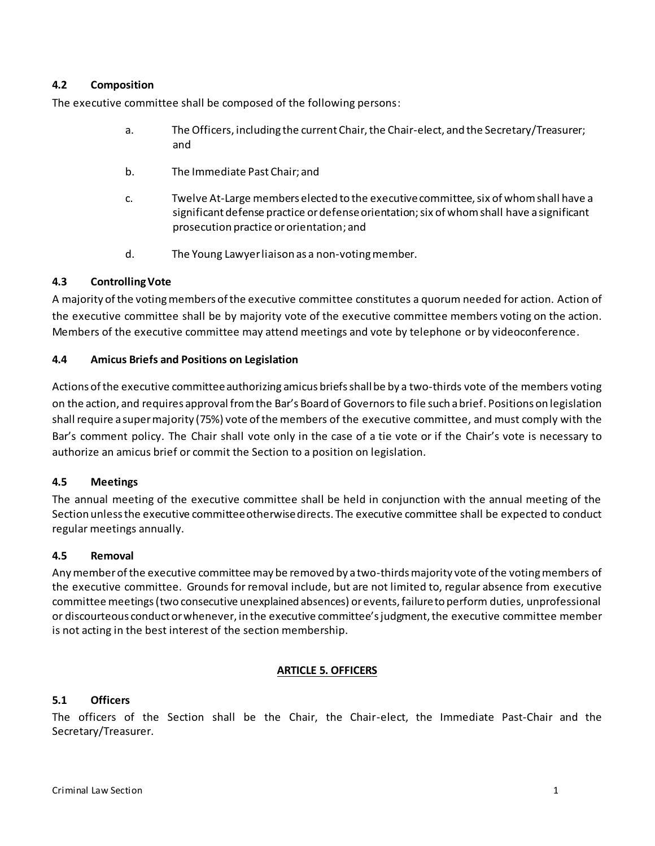# **4.2 Composition**

The executive committee shall be composed of the following persons:

- a. The Officers, including the current Chair, the Chair-elect, and the Secretary/Treasurer; and
- b. The Immediate Past Chair; and
- c. Twelve At-Large members elected to the executive committee, six of whom shall have a significant defense practice or defense orientation; six of whom shall have a significant prosecution practice or orientation; and
- d. The Young Lawyer liaison as a non-voting member.

#### **4.3 Controlling Vote**

A majority of the voting members of the executive committee constitutes a quorum needed for action. Action of the executive committee shall be by majority vote of the executive committee members voting on the action. Members of the executive committee may attend meetings and vote by telephone or by videoconference.

#### **4.4 Amicus Briefs and Positions on Legislation**

Actions of the executive committeeauthorizing amicus briefs shall be by a two-thirds vote of the members voting on the action, and requires approval from the Bar's Board of Governorsto file such a brief. Positions on legislation shall require a super majority (75%) vote of the members of the executive committee, and must comply with the Bar's comment policy. The Chair shall vote only in the case of a tie vote or if the Chair's vote is necessary to authorize an amicus brief or commit the Section to a position on legislation.

#### **4.5 Meetings**

The annual meeting of the executive committee shall be held in conjunction with the annual meeting of the Section unless the executive committee otherwise directs. The executive committee shall be expected to conduct regular meetings annually.

#### **4.5 Removal**

Any member of the executive committee may be removed by a two-thirds majority vote of the voting members of the executive committee. Grounds for removal include, but are not limited to, regular absence from executive committee meetings (two consecutive unexplained absences) or events, failure to perform duties, unprofessional or discourteous conduct or whenever, in the executive committee's judgment, the executive committee member is not acting in the best interest of the section membership.

#### **ARTICLE 5. OFFICERS**

#### **5.1 Officers**

The officers of the Section shall be the Chair, the Chair-elect, the Immediate Past-Chair and the Secretary/Treasurer.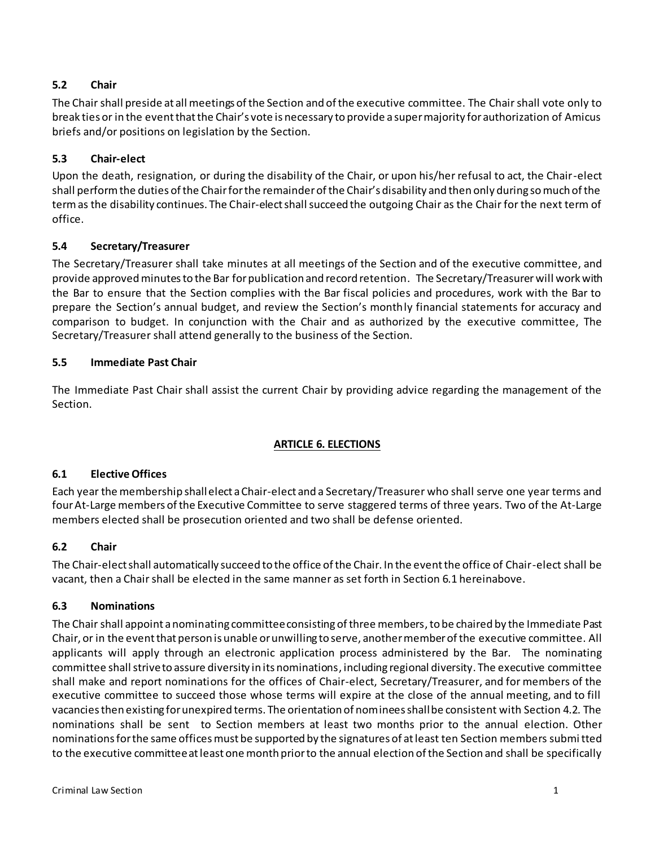# **5.2 Chair**

The Chair shall preside at all meetings of the Section and of the executive committee. The Chair shall vote only to break ties or in the event that the Chair's vote is necessary to provide a super majority for authorization of Amicus briefs and/or positions on legislation by the Section.

# **5.3 Chair-elect**

Upon the death, resignation, or during the disability of the Chair, or upon his/her refusal to act, the Chair-elect shall perform the duties of the Chair for the remainder of the Chair's disability and then only during so much of the term as the disability continues. The Chair-elect shall succeed the outgoing Chair as the Chair for the next term of office.

# **5.4 Secretary/Treasurer**

The Secretary/Treasurer shall take minutes at all meetings of the Section and of the executive committee, and provide approved minutes to the Bar for publication and record retention. The Secretary/Treasurerwill work with the Bar to ensure that the Section complies with the Bar fiscal policies and procedures, work with the Bar to prepare the Section's annual budget, and review the Section's monthly financial statements for accuracy and comparison to budget. In conjunction with the Chair and as authorized by the executive committee, The Secretary/Treasurer shall attend generally to the business of the Section.

# **5.5 Immediate Past Chair**

The Immediate Past Chair shall assist the current Chair by providing advice regarding the management of the Section.

# **ARTICLE 6. ELECTIONS**

# **6.1 Elective Offices**

Each year the membership shall elect a Chair-elect and a Secretary/Treasurer who shall serve one year terms and four At-Large members of the Executive Committee to serve staggered terms of three years. Two of the At-Large members elected shall be prosecution oriented and two shall be defense oriented.

# **6.2 Chair**

The Chair-elect shall automatically succeed to the office of the Chair. In the event the office of Chair-elect shall be vacant, then a Chair shall be elected in the same manner as set forth in Section 6.1 hereinabove.

# **6.3 Nominations**

The Chair shall appoint a nominating committee consisting of three members, to be chaired by the Immediate Past Chair, or in the event that person is unable or unwilling to serve, another member of the executive committee. All applicants will apply through an electronic application process administered by the Bar. The nominating committee shall strive to assure diversity in its nominations, including regional diversity. The executive committee shall make and report nominations for the offices of Chair-elect, Secretary/Treasurer, and for members of the executive committee to succeed those whose terms will expire at the close of the annual meeting, and to fill vacancies then existing for unexpired terms. The orientation of nominees shall be consistent with Section 4.2. The nominations shall be sent to Section members at least two months prior to the annual election. Other nominations for the same offices must be supported by the signatures of at least ten Section members submitted to the executive committee at least one month prior to the annual election of the Section and shall be specifically